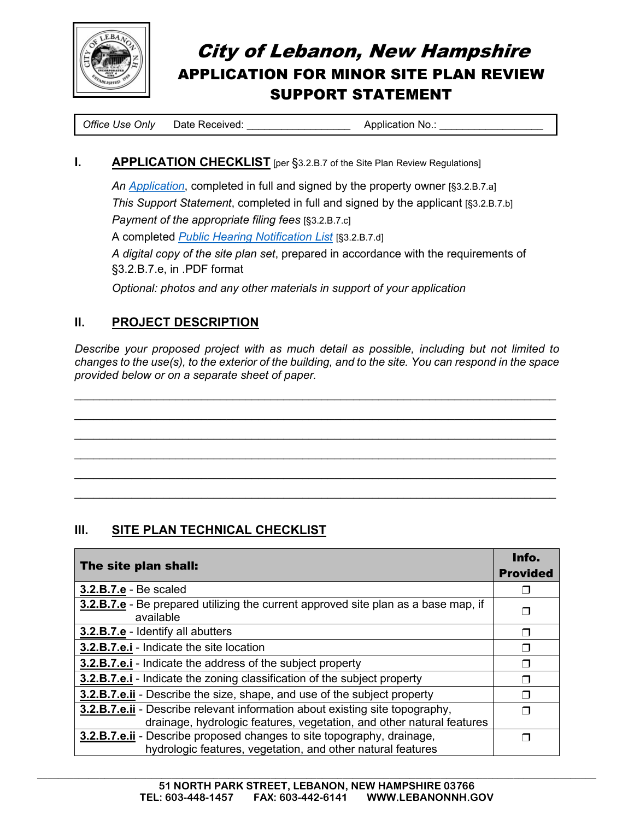

# City of Lebanon, New Hampshire APPLICATION FOR MINOR SITE PLAN REVIEW SUPPORT STATEMENT

*Office Use Only* Date Received: <br>  $\blacksquare$  **Application No.:** 

#### **I. APPLICATION CHECKLIST** [per §3.2.B.7 of the Site Plan Review Regulations]

 *An Application*, completed in full and signed by the property owner [§3.2.B.7.a] *This Support Statement*, completed in full and signed by the applicant [§3.2.B.7.b] *Payment of the appropriate filing fees* [§3.2.B.7.c] A completed *Public Hearing Notification List* [§3.2.B.7.d] *A digital copy of the site plan set*, prepared in accordance with the requirements of §3.2.B.7.e, in .PDF format

*Optional: photos and any other materials in support of your application* 

## **II. PROJECT DESCRIPTION**

*Describe your proposed project with as much detail as possible, including but not limited to changes to the use(s), to the exterior of the building, and to the site. You can respond in the space provided below or on a separate sheet of paper.*

 $\_$  , and the set of the set of the set of the set of the set of the set of the set of the set of the set of the set of the set of the set of the set of the set of the set of the set of the set of the set of the set of th  $\_$  , and the contribution of the contribution of  $\mathcal{L}_\mathcal{A}$  , and the contribution of  $\mathcal{L}_\mathcal{A}$  $\_$  , and the set of the set of the set of the set of the set of the set of the set of the set of the set of the set of the set of the set of the set of the set of the set of the set of the set of the set of the set of th  $\_$  , and the set of the set of the set of the set of the set of the set of the set of the set of the set of the set of the set of the set of the set of the set of the set of the set of the set of the set of the set of th  $\_$  , and the contribution of the contribution of  $\mathcal{L}_\mathcal{A}$  , and the contribution of  $\mathcal{L}_\mathcal{A}$  $\_$  , and the set of the set of the set of the set of the set of the set of the set of the set of the set of the set of the set of the set of the set of the set of the set of the set of the set of the set of the set of th

## **III. SITE PLAN TECHNICAL CHECKLIST**

| The site plan shall:                                                                                                                                  | Info.<br><b>Provided</b> |
|-------------------------------------------------------------------------------------------------------------------------------------------------------|--------------------------|
| 3.2.B.7.e - Be scaled                                                                                                                                 |                          |
| <b>3.2.B.7.e</b> - Be prepared utilizing the current approved site plan as a base map, if<br>available                                                |                          |
| 3.2.B.7.e - Identify all abutters                                                                                                                     | ⊓                        |
| 3.2.B.7.e.i - Indicate the site location                                                                                                              |                          |
| 3.2.B.7.e.i - Indicate the address of the subject property                                                                                            |                          |
| <b>3.2.B.7.e.i</b> - Indicate the zoning classification of the subject property                                                                       |                          |
| <b>3.2.B.7.e.ii</b> - Describe the size, shape, and use of the subject property                                                                       |                          |
| 3.2.B.7.e.ii - Describe relevant information about existing site topography,<br>drainage, hydrologic features, vegetation, and other natural features |                          |
| 3.2.B.7.e.ii - Describe proposed changes to site topography, drainage,<br>hydrologic features, vegetation, and other natural features                 |                          |